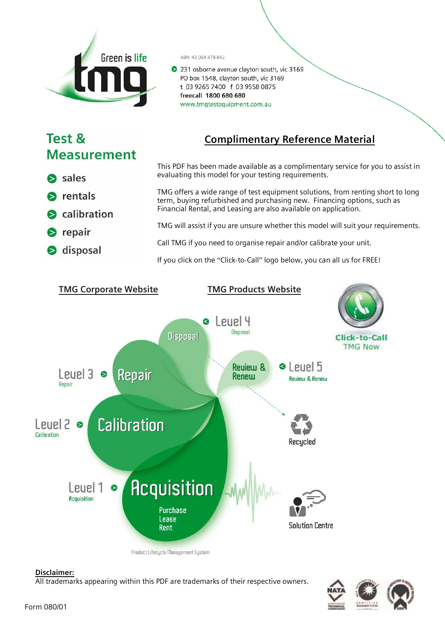

### ABN 43 064 478 842

231 osborne avenue clayton south, vic 3169 PO box 1548, clayton south, vic 3169 t 03 9265 7400 f 03 9558 0875 freecall 1800 680 680 www.tmgtestequipment.com.au

# Test & **Measurement**

# Complimentary Reference Material

This PDF has been made available as a complimentary service for you to assist in evaluating this model for your testing requirements. S sales TMG offers a wide range of test equipment solutions, from renting short to long  $\triangleright$  rentals term, buying refurbished and purchasing new. Financing options, such as Financial Rental, and Leasing are also available on application. S calibration TMG will assist if you are unsure whether this model will suit your requirements.  $\bullet$  repair Call TMG if you need to organise repair and/or calibrate your unit. S disposal If you click on the "Click-to-Call" logo below, you can all us for FREE!



# Disclaimer:

All trademarks appearing within this PDF are trademarks of their respective owners.

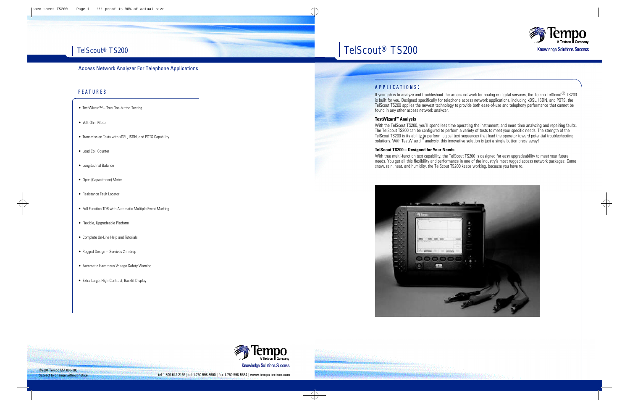# TelScout<sup>®</sup> TS200

# Access Network Analyzer For Telephone Applications

# F E A T U R E S

- TestWizard™ True One-button Testing
- Volt-Ohm Meter
- Transmission Tests with xDSL, ISDN, and POTS Capability
- Load Coil Counter
- Longitudinal Balance
- Open (Capacitance) Meter
- Resistance Fault Locator
- Full Function TDR with Automatic Multiple Event Marking
- Flexible, Upgradeable Platform
- Complete On-Line Help and Tutorials
- Rugged Design Survives 2 m drop
- Automatic Hazardous Voltage Safety Warning
- Extra Large, High-Contrast, Backlit Display

## A P P L I C A T I O N S :

TelScout<sup>®</sup> TS200

If your job is to analyze and troubleshoot the access network for analog or digital services, the Tempo TelScout<sup>®</sup> TS200 is built for you. Designed specifically for telephone access network applications, including xDSL, ISDN, and POTS, the TelScout TS200 applies the newest technology to provide both ease-of-use and telephony performance that cannot be found in any other access network analyzer.

#### **TestWizard™ Analysis**

With the TelScout TS200, you'll spend less time operating the instrument, and more time analyzing and repairing faults. The TelScout TS200 can be configured to perform a variety of tests to meet your specific needs. The strength of the TelScout TS200 is its ability to perform logical test sequences that lead the operator toward potential troubleshooting solutions. With TestWizard<sup>™</sup> analysis, this innovative solution is just a single button press away!

#### **TelScout TS200 – Designed for Your Needs**

With true multi-function test capability, the TelScout TS200 is designed for easy upgradeability to meet your future needs. You get all this flexibility and performance in one of the industryís most rugged access network packages. Come snow, rain, heat, and humidity, the TelScout TS200 keeps working, because you have to.